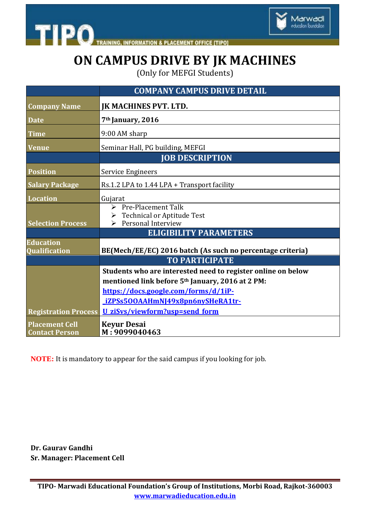



## **ON CAMPUS DRIVE BY JK MACHINES**

(Only for MEFGI Students)

|                                                | <b>COMPANY CAMPUS DRIVE DETAIL</b>                                                                       |
|------------------------------------------------|----------------------------------------------------------------------------------------------------------|
| <b>Company Name</b>                            | <b>JK MACHINES PVT. LTD.</b>                                                                             |
| <b>Date</b>                                    | 7 <sup>th</sup> January, 2016                                                                            |
| <b>Time</b>                                    | 9:00 AM sharp                                                                                            |
| <b>Venue</b>                                   | Seminar Hall, PG building, MEFGI                                                                         |
|                                                | <b>JOB DESCRIPTION</b>                                                                                   |
| <b>Position</b>                                | <b>Service Engineers</b>                                                                                 |
| <b>Salary Package</b>                          | Rs.1.2 LPA to 1.44 LPA + Transport facility                                                              |
| <b>Location</b>                                | Gujarat                                                                                                  |
| <b>Selection Process</b>                       | $\triangleright$ Pre-Placement Talk<br>Technical or Aptitude Test<br>$\triangleright$ Personal Interview |
|                                                | <b>ELIGIBILITY PARAMETERS</b>                                                                            |
| <b>Education</b><br>Qualification              | BE(Mech/EE/EC) 2016 batch (As such no percentage criteria)<br><b>TO PARTICIPATE</b>                      |
|                                                | Students who are interested need to register online on below                                             |
|                                                | mentioned link before 5 <sup>th</sup> January, 2016 at 2 PM:                                             |
|                                                | https://docs.google.com/forms/d/1iP-                                                                     |
|                                                | iZPSs500AAHmNI49x8pn6nvSHeRA1tr-                                                                         |
|                                                | <b>Registration Process U ziSvs/viewform?usp=send form</b>                                               |
| <b>Placement Cell</b><br><b>Contact Person</b> | <b>Keyur Desai</b><br>M: 9099040463                                                                      |

**NOTE:** It is mandatory to appear for the said campus if you looking for job.

**Dr. Gaurav Gandhi Sr. Manager: Placement Cell**